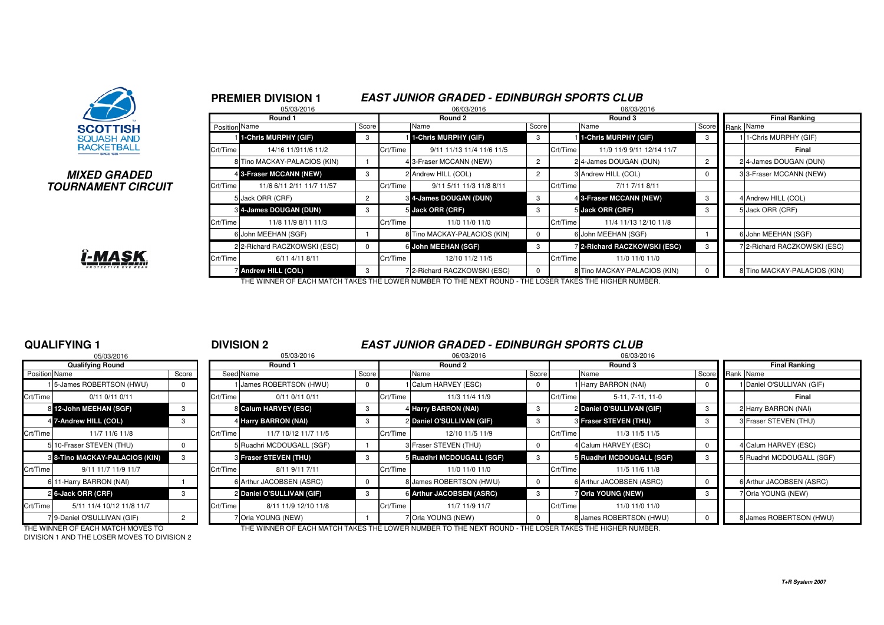

### **MIXED GRADEDTOURNAMENT CIRCUIT**



|              |                      | <b>PREMIER DIVISION 1</b><br>05/03/2016 |                |          | <b>EAST JUNIOR GRADED - EDINBURGH SPORTS CLUB</b><br>06/03/2016 |                |          | 06/03/2016                          |       |                              |
|--------------|----------------------|-----------------------------------------|----------------|----------|-----------------------------------------------------------------|----------------|----------|-------------------------------------|-------|------------------------------|
|              |                      | Round 1                                 |                |          | Round 2                                                         |                |          | Round 3                             |       | <b>Final Ranking</b>         |
|              | <b>Position Name</b> |                                         | Score          |          | Name                                                            | Score          |          | Name                                | Score | Rank Name                    |
|              |                      | 1-Chris MURPHY (GIF)                    | 3              |          | 1-Chris MURPHY (GIF)                                            | 3              |          | 1-Chris MURPHY (GIF)                | 3     | 1-Chris MURPHY (GIF)         |
|              | Crt/Time             | 14/16 11/911/6 11/2                     |                | Crt/Time | 9/11 11/13 11/4 11/6 11/5                                       |                | Crt/Time | 11/9 11/9 9/11 12/14 11/7           |       | Final                        |
|              |                      | 8 Tino MACKAY-PALACIOS (KIN)            |                |          | 43-Fraser MCCANN (NEW)                                          | $\overline{2}$ |          | 24-James DOUGAN (DUN)               |       | 24-James DOUGAN (DUN)        |
|              |                      | 4 3-Fraser MCCANN (NEW)                 | 3              |          | 2 Andrew HILL (COL)                                             |                |          | 3 Andrew HILL (COL)                 |       | 33-Fraser MCCANN (NEW)       |
| <b>?CUIT</b> | Crt/Time             | 11/6 6/11 2/11 11/7 11/57               |                | Crt/Time | 9/11 5/11 11/3 11/8 8/11                                        |                | Crt/Time | 7/11 7/11 8/11                      |       |                              |
|              |                      | 5 Jack ORR (CRF)                        | $\overline{2}$ |          | 84-James DOUGAN (DUN)                                           | 3              |          | 4 3-Fraser MCCANN (NEW)             | 3     | 4 Andrew HILL (COL)          |
|              |                      | 8 4-James DOUGAN (DUN)                  | 3              |          | 5 Jack ORR (CRF)                                                | 3              |          | 5 Jack ORR (CRF)                    | 3     | 5 Jack ORR (CRF)             |
|              | Crt/Time             | 11/8 11/9 8/11 11/3                     |                | Crt/Time | 11/0 11/0 11/0                                                  |                | Crt/Time | 11/4 11/13 12/10 11/8               |       |                              |
|              |                      | 6 John MEEHAN (SGF)                     |                |          | 8 Tino MACKAY-PALACIOS (KIN)                                    | $\Omega$       |          | 6 John MEEHAN (SGF)                 |       | 6 John MEEHAN (SGF)          |
|              |                      | 2 2-Richard RACZKOWSKI (ESC)            | $\Omega$       |          | 6 John MEEHAN (SGF)                                             |                |          | <b>7 2-Richard RACZKOWSKI (ESC)</b> | 3     | 72-Richard RACZKOWSKI (ESC)  |
|              | Crt/Time             | 6/11 4/11 8/11                          |                | Crt/Time | 12/10 11/2 11/5                                                 |                | Crt/Time | 11/0 11/0 11/0                      |       |                              |
|              |                      | Andrew HILL (COL)                       | 3              |          | 72-Richard RACZKOWSKI (ESC)                                     |                |          | 8 Tino MACKAY-PALACIOS (KIN)        |       | 8 Tino MACKAY-PALACIOS (KIN) |

THE WINNER OF EACH MATCH TAKES THE LOWER NUMBER TO THE NEXT ROUND - THE LOSER TAKES THE HIGHER NUMBER.

## **QUALIFYING 1**

|               | 05/03/2016                            |       |                |
|---------------|---------------------------------------|-------|----------------|
|               | <b>Qualifying Round</b>               |       |                |
| Position Name |                                       | Score | Seed           |
|               | 1 <sup>5</sup> -James ROBERTSON (HWU) | 0     |                |
| Crt/Time      | $0/11$ $0/11$ $0/11$                  |       | Crt/Time       |
| 81            | 12-John MEEHAN (SGF)                  | 3     | 8              |
|               | 4 7-Andrew HILL (COL)                 | 3     | 4              |
| Crt/Time      | 11/7 11/6 11/8                        |       | Crt/Time       |
|               | 5 10-Fraser STEVEN (THU)              | O     | 5              |
|               | 8 8-Tino MACKAY-PALACIOS (KIN)        | 3     | 3              |
| Crt/Time      | 9/11 11/7 11/9 11/7                   |       | Crt/Time       |
|               | 6 11-Harry BARRON (NAI)               |       | 6              |
|               | 2 6-Jack ORR (CRF)                    | 3     | $\overline{2}$ |
| Crt/Time      | 5/11 11/4 10/12 11/8 11/7             |       | Crt/Time       |
|               | 7 9-Daniel O'SULLIVAN (GIF)           | 2     |                |

## <sup>1</sup> **DIVISION 2 EAST JUNIOR GRADED - EDINBURGH SPORTS CLUB**

|                            |                                                                                                                                                                                                                                                             |            | 05/03/2016           |                                                                                                                                                                                                                           |                                              |                                                                                                                                                                                                                            |          |                  |                                                                                                                                                                                                                             |            |                           |
|----------------------------|-------------------------------------------------------------------------------------------------------------------------------------------------------------------------------------------------------------------------------------------------------------|------------|----------------------|---------------------------------------------------------------------------------------------------------------------------------------------------------------------------------------------------------------------------|----------------------------------------------|----------------------------------------------------------------------------------------------------------------------------------------------------------------------------------------------------------------------------|----------|------------------|-----------------------------------------------------------------------------------------------------------------------------------------------------------------------------------------------------------------------------|------------|---------------------------|
| <b>Qualifying Round</b>    |                                                                                                                                                                                                                                                             |            | Round 1              |                                                                                                                                                                                                                           | Round 2                                      |                                                                                                                                                                                                                            |          | Round 3          |                                                                                                                                                                                                                             |            | <b>Final Ranking</b>      |
|                            | Score                                                                                                                                                                                                                                                       |            |                      | Score                                                                                                                                                                                                                     | Name                                         |                                                                                                                                                                                                                            |          |                  |                                                                                                                                                                                                                             |            |                           |
|                            |                                                                                                                                                                                                                                                             |            |                      | $^{\circ}$                                                                                                                                                                                                                |                                              |                                                                                                                                                                                                                            |          |                  |                                                                                                                                                                                                                             |            | 1 Daniel O'SULLIVAN (GIF) |
| $0/11$ $0/11$ $0/11$       |                                                                                                                                                                                                                                                             | Crt/Time   | $0/11$ $0/11$ $0/11$ |                                                                                                                                                                                                                           | 11/3 11/4 11/9                               |                                                                                                                                                                                                                            | Crt/Time | 5-11, 7-11, 11-0 |                                                                                                                                                                                                                             |            | Final                     |
|                            |                                                                                                                                                                                                                                                             |            |                      | -3                                                                                                                                                                                                                        |                                              |                                                                                                                                                                                                                            |          |                  | -3                                                                                                                                                                                                                          |            | 2 Harry BARRON (NAI)      |
|                            |                                                                                                                                                                                                                                                             |            |                      |                                                                                                                                                                                                                           |                                              |                                                                                                                                                                                                                            |          |                  |                                                                                                                                                                                                                             |            | 3 Fraser STEVEN (THU)     |
| 11/7 11/6 11/8             |                                                                                                                                                                                                                                                             | Crt/Time   | 11/7 10/12 11/7 11/5 |                                                                                                                                                                                                                           | 12/10 11/5 11/9                              |                                                                                                                                                                                                                            | Crt/Time | 11/3 11/5 11/5   |                                                                                                                                                                                                                             |            |                           |
|                            |                                                                                                                                                                                                                                                             |            |                      |                                                                                                                                                                                                                           |                                              |                                                                                                                                                                                                                            |          |                  |                                                                                                                                                                                                                             |            | 4 Calum HARVEY (ESC)      |
|                            |                                                                                                                                                                                                                                                             |            |                      |                                                                                                                                                                                                                           |                                              |                                                                                                                                                                                                                            |          |                  |                                                                                                                                                                                                                             |            | 5 Ruadhri MCDOUGALL (SGF) |
| 9/11 11/7 11/9 11/7        |                                                                                                                                                                                                                                                             | Crt/Time   | 8/11 9/11 7/11       |                                                                                                                                                                                                                           | 11/0 11/0 11/0                               |                                                                                                                                                                                                                            | Crt/Time | 11/5 11/6 11/8   |                                                                                                                                                                                                                             |            |                           |
|                            |                                                                                                                                                                                                                                                             |            |                      | $\Omega$                                                                                                                                                                                                                  |                                              |                                                                                                                                                                                                                            |          |                  |                                                                                                                                                                                                                             |            | 6 Arthur JACOBSEN (ASRC)  |
|                            |                                                                                                                                                                                                                                                             |            |                      |                                                                                                                                                                                                                           |                                              |                                                                                                                                                                                                                            |          |                  |                                                                                                                                                                                                                             |            | 7 Orla YOUNG (NEW)        |
| 5/11 11/4 10/12 11/8 11/7  |                                                                                                                                                                                                                                                             | Crt/Time   | 8/11 11/9 12/10 11/8 |                                                                                                                                                                                                                           | 11/7 11/9 11/7                               |                                                                                                                                                                                                                            | Crt/Time | 11/0 11/0 11/0   |                                                                                                                                                                                                                             |            |                           |
| 79-Daniel O'SULLIVAN (GIF) |                                                                                                                                                                                                                                                             |            |                      |                                                                                                                                                                                                                           |                                              |                                                                                                                                                                                                                            |          |                  |                                                                                                                                                                                                                             |            | 8 James ROBERTSON (HWU)   |
|                            | Position Name<br>15-James ROBERTSON (HWU)<br>Crt/Time<br>8 12-John MEEHAN (SGF)<br>4 7-Andrew HILL (COL)<br>Crt/Time<br>5 10-Fraser STEVEN (THU)<br>3 8-Tino MACKAY-PALACIOS (KIN)<br>Crt/Time<br>6 11-Harry BARRON (NAI)<br>2 6-Jack ORR (CRF)<br>Crt/Time | 05/03/2016 |                      | Seed Name<br>I James ROBERTSON (HWU)<br>8 Calum HARVEY (ESC)<br>4 Harry BARRON (NAI)<br>5 Ruadhri MCDOUGALL (SGF)<br>3 Fraser STEVEN (THU)<br>6 Arthur JACOBSEN (ASRC)<br>2 Daniel O'SULLIVAN (GIF)<br>7 Orla YOUNG (NEW) | Crt/Time<br>Crt/Time<br>Crt/Time<br>Crt/Time | 06/03/2016<br>1 Calum HARVEY (ESC)<br>4 Harry BARRON (NAI)<br>2 Daniel O'SULLIVAN (GIF)<br>3 Fraser STEVEN (THU)<br>5 Ruadhri MCDOUGALL (SGF)<br>8 James ROBERTSON (HWU)<br>6 Arthur JACOBSEN (ASRC)<br>7 Orla YOUNG (NEW) |          | Score            | Name<br>1 Harry BARRON (NAI)<br>2 Daniel O'SULLIVAN (GIF)<br>3 Fraser STEVEN (THU)<br>4 Calum HARVEY (ESC)<br>5 Ruadhri MCDOUGALL (SGF)<br>6 Arthur JACOBSEN (ASRC)<br><b>7 Orla YOUNG (NEW)</b><br>8 James ROBERTSON (HWU) | 06/03/2016 | Score<br>Rank Name        |

DIVISION 1 AND THE LOSER MOVES TO DIVISION 2

THE WINNER OF EACH MATCH MOVES TO THE WINNER OF EACH MATCH TAKES THE LOWER NUMBER TO THE NEXT ROUND - THE LOSER TAKES THE HIGHER NUMBER.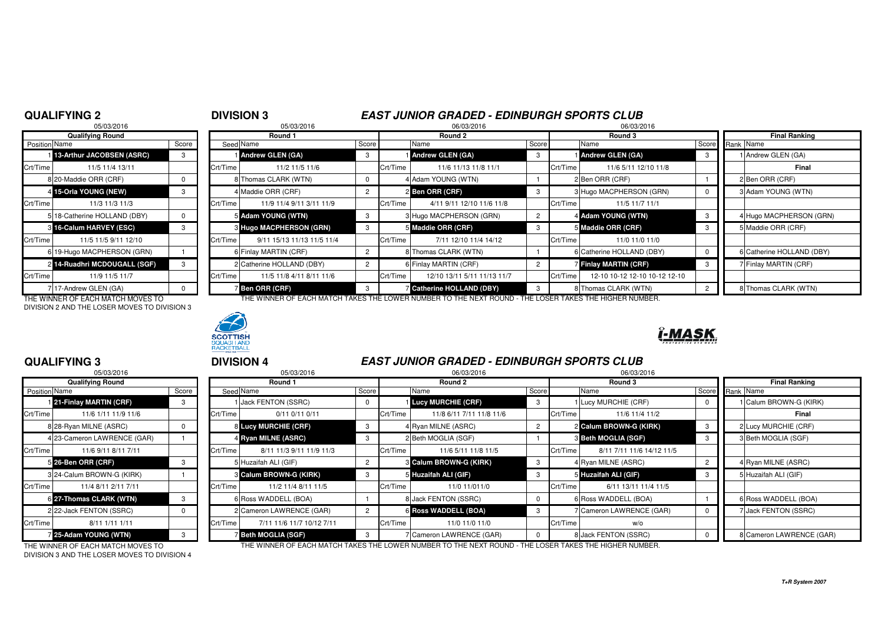### <sup>2</sup> **DIVISION 3 EAST JUNIOR GRADED - EDINBURGH SPORTS CLUB**06/03/2016

## **QUALIFYING 2**05/03/2016 <sup>9</sup> 05/03/2016 06/03/2016 06/03/2016 **Qualifying Round Round 1 Round 2 Round 3 Final Ranking Position** Name 13-Arthur JACOBSEN (ASRC) Crt/Time 11/3 11/3 11/35 18-Catherine HOLLAND (DBY) 0 3 16-Calum HARVEY (ESC) 6 19-Hugo MACPHERSON (GRN) 1 2 14-Ruadhri MCDOUGALL (SGF)

7 17-Andrew GLEN (GA) 0 THE WINNER OF EACH MATCH MOVES TO DIVISION 2 AND THE LOSER MOVES TO DIVISION 3



| <b>Position Name</b> |                                   | Score    |          | Seed Name                      | Score |          | Name                                                                                                   | Score |          | Name                          | Score Rank Name |  |                           |
|----------------------|-----------------------------------|----------|----------|--------------------------------|-------|----------|--------------------------------------------------------------------------------------------------------|-------|----------|-------------------------------|-----------------|--|---------------------------|
|                      | 1 13-Arthur JACOBSEN (ASRC)       | 3        |          | <b>Andrew GLEN (GA)</b>        | 3     |          | 1 Andrew GLEN (GA)                                                                                     |       |          | <b>Andrew GLEN (GA)</b>       |                 |  | 1 Andrew GLEN (GA)        |
| Crt/Time             | 11/5 11/4 13/11                   |          | Crt/Time | 11/2 11/5 11/6                 |       | Crt/Time | 11/6 11/13 11/8 11/1                                                                                   |       | Crt/Time | 11/6 5/11 12/10 11/8          |                 |  | Final                     |
|                      | 8 20-Maddie ORR (CRF)             |          |          | 8 Thomas CLARK (WTN)           |       |          | 4 Adam YOUNG (WTN)                                                                                     |       |          | 2 Ben ORR (CRF)               |                 |  | 2 Ben ORR (CRF)           |
|                      | 4 15-Orla YOUNG (NEW)             |          |          | 4 Maddie ORR (CRF)             |       |          | 2 Ben ORR (CRF)                                                                                        |       |          | 3 Hugo MACPHERSON (GRN)       |                 |  | 3 Adam YOUNG (WTN)        |
| Crt/Time             | 11/3 11/3 11/3                    |          | Crt/Time | 11/9 11/4 9/11 3/11 11/9       |       | Crt/Time | 4/11 9/11 12/10 11/6 11/8                                                                              |       | Crt/Time | 11/5 11/7 11/1                |                 |  |                           |
|                      | 5 18-Catherine HOLLAND (DBY)      | $\Omega$ |          | 5 Adam YOUNG (WTN)             | -3    |          | 3 Hugo MACPHERSON (GRN)                                                                                |       |          | 4 Adam YOUNG (WTN)            |                 |  | 4 Hugo MACPHERSON (GRN)   |
|                      | 3 16-Calum HARVEY (ESC)           |          |          | <b>8 Hugo MACPHERSON (GRN)</b> |       |          | 5 Maddie ORR (CRF)                                                                                     |       |          | 5 Maddie ORR (CRF)            |                 |  | 5 Maddie ORR (CRF)        |
| Crt/Time             | 11/5 11/5 9/11 12/10              |          | Crt/Time | 9/11 15/13 11/13 11/5 11/4     |       | Crt/Time | 7/11 12/10 11/4 14/12                                                                                  |       | Crt/Time | 11/0 11/0 11/0                |                 |  |                           |
|                      | 6 19-Hugo MACPHERSON (GRN)        |          |          | 6 Finlay MARTIN (CRF)          |       |          | 8 Thomas CLARK (WTN)                                                                                   |       |          | 6 Catherine HOLLAND (DBY)     |                 |  | 6 Catherine HOLLAND (DBY) |
|                      | 2 14-Ruadhri MCDOUGALL (SGF)      |          |          | 2 Catherine HOLLAND (DBY)      |       |          | 6 Finlay MARTIN (CRF)                                                                                  |       |          | Finlay MARTIN (CRF)           |                 |  | 7 Finlay MARTIN (CRF)     |
| Crt/Time             | 11/9 11/5 11/7                    |          | Crt/Time | 11/5 11/8 4/11 8/11 11/6       |       | Crt/Time | 12/10 13/11 5/11 11/13 11/7                                                                            |       | Crt/Time | 12-10 10-12 12-10 10-12 12-10 |                 |  |                           |
|                      | 7 17-Andrew GLEN (GA)             |          |          | <b>Ben ORR (CRF)</b>           |       |          | <b>Z</b> Catherine HOLLAND (DBY)                                                                       |       |          | 8 Thomas CLARK (WTN)          |                 |  | 8 Thomas CLARK (WTN)      |
|                      | THE WINNER OF EACH MATCH MOVES TO |          |          |                                |       |          | THE WINNER OF EACH MATCH TAKES THE LOWER NUMBER TO THE NEXT ROUND - THE LOSER TAKES THE HIGHER NUMBER. |       |          |                               |                 |  |                           |



# ĭ-MAS

### **QUALIFYING 3**05/03/2016

|               | <b>Qualifying Round</b>     |       |          |
|---------------|-----------------------------|-------|----------|
| Position Name |                             | Score | Seed     |
|               | 121-Finlay MARTIN (CRF)     | 3     |          |
| Crt/Time      | 11/6 1/11 11/9 11/6         |       | Crt/Time |
|               | 8 28-Ryan MILNE (ASRC)      | 0     | 8        |
|               | 4 23-Cameron LAWRENCE (GAR) |       | 4        |
| Crt/Time      | 11/6 9/11 8/11 7/11         |       | Crt/Time |
|               | 5 26-Ben ORR (CRF)          | 3     | 5        |
|               | 3 24-Calum BROWN-G (KIRK)   |       | 3        |
| Crt/Time      | 11/4 8/11 2/11 7/11         |       | Crt/Time |
|               | 6 27-Thomas CLARK (WTN)     | 3     | 6        |
|               | 2 22-Jack FENTON (SSRC)     | 0     | 2        |
| Crt/Time      | 8/11 1/11 1/11              |       | Crt/Time |
|               | 25-Adam YOUNG (WTN)         | 3     | 7        |

|               | <b>QUALIFYING 3</b>         |          |          | <b>DIVISION 4</b>             |          |          | <b>EAST JUNIOR GRADED - EDINBURGH SPORTS CLUB</b> |                |          |                            |  |                          |
|---------------|-----------------------------|----------|----------|-------------------------------|----------|----------|---------------------------------------------------|----------------|----------|----------------------------|--|--------------------------|
|               | 05/03/2016                  |          |          | 05/03/2016                    |          |          | 06/03/2016                                        |                |          | 06/03/2016                 |  |                          |
|               | <b>Qualifying Round</b>     |          |          | Round 1                       |          |          | Round 2                                           |                |          | Round 3                    |  | <b>Final Ranking</b>     |
| Position Name |                             | Score    |          | Seed Name                     | Score    |          | Name                                              | Score          |          | Name                       |  | Score Rank Name          |
|               | 21-Finlay MARTIN (CRF)      | 3        |          | Jack FENTON (SSRC)            | $\Omega$ |          | <b>Lucy MURCHIE (CRF)</b>                         | 3              |          | 1 Lucy MURCHIE (CRF)       |  | Calum BROWN-G (KIRK)     |
| Crt/Time      | 11/6 1/11 11/9 11/6         |          | Crt/Time | 0/11 0/11 0/11                |          | Crt/Time | 11/8 6/11 7/11 11/8 11/6                          |                | Crt/Time | 11/6 11/4 11/2             |  | Final                    |
|               | 8 28-Ryan MILNE (ASRC)      |          |          | 8 Lucy MURCHIE (CRF)          |          |          | 4 Ryan MILNE (ASRC)                               | $\overline{c}$ |          | 2 Calum BROWN-G (KIRK)     |  | 2 Lucy MURCHIE (CRF)     |
|               | 4 23-Cameron LAWRENCE (GAR) |          |          | 4 Ryan MILNE (ASRC)           |          |          | 2 Beth MOGLIA (SGF)                               |                |          | <b>3 Beth MOGLIA (SGF)</b> |  | 3 Beth MOGLIA (SGF)      |
| Crt/Time      | 11/6 9/11 8/11 7/11         |          | Crt/Time | 8/11 11/3 9/11 11/9 11/3      |          | Crt/Time | 11/6 5/11 11/8 11/5                               |                | Crt/Time | 8/11 7/11 11/6 14/12 11/5  |  |                          |
|               | 5 26-Ben ORR (CRF)          | 3        |          | 5 Huzaifah ALI (GIF)          |          |          | <b>6 Calum BROWN-G (KIRK)</b>                     | 3              |          | 4 Ryan MILNE (ASRC)        |  | 4 Ryan MILNE (ASRC)      |
|               | 3 24-Calum BROWN-G (KIRK)   |          |          | <b>8 Calum BROWN-G (KIRK)</b> |          |          | 5 Huzaifah ALI (GIF)                              |                |          | 5 Huzaifah ALI (GIF)       |  | 5 Huzaifah ALI (GIF)     |
| Crt/Time      | 11/4 8/11 2/11 7/11         |          | Crt/Time | 11/2 11/4 8/11 11/5           |          | Crt/Time | 11/0 11/011/0                                     |                | Crt/Time | 6/11 13/11 11/4 11/5       |  |                          |
|               | 6 27-Thomas CLARK (WTN)     | 3        |          | 6 Ross WADDELL (BOA)          |          |          | 8 Jack FENTON (SSRC)                              | $\Omega$       |          | 6 Ross WADDELL (BOA)       |  | 6 Ross WADDELL (BOA)     |
|               | 2 22-Jack FENTON (SSRC)     | $\Omega$ |          | 2 Cameron LAWRENCE (GAR)      |          |          | 6 Ross WADDELL (BOA)                              | 3              |          | 7 Cameron LAWRENCE (GAR)   |  | 7 Jack FENTON (SSRC)     |
| Crt/Time      | 8/11 1/11 1/11              |          | Crt/Time | 7/11 11/6 11/7 10/12 7/11     |          | Crt/Time | 11/0 11/0 11/0                                    |                | Crt/Time | w/o                        |  |                          |
|               | 7 25-Adam YOUNG (WTN)       |          |          | <b>Beth MOGLIA (SGF)</b>      |          |          | 7 Cameron LAWRENCE (GAR)                          |                |          | 8 Jack FENTON (SSRC)       |  | 8 Cameron LAWRENCE (GAR) |

DIVISION 3 AND THE LOSER MOVES TO DIVISION 4

THE WINNER OF EACH MATCH MOVES TO THE WINNER OF EACH MATCH TAKES THE LOWER NUMBER TO THE NEXT ROUND - THE LOSER TAKES THE HIGHER NUMBER.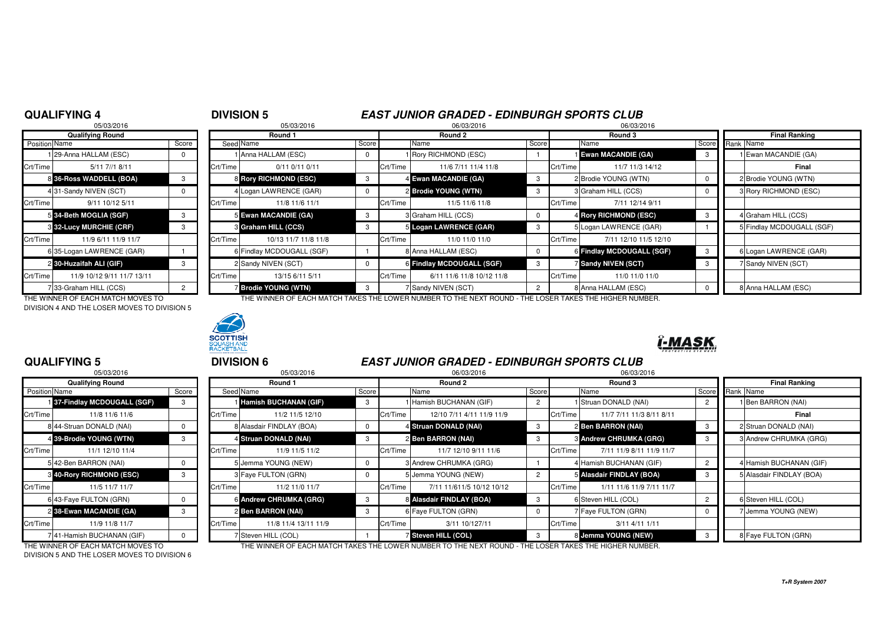## **QUALIFYING 4**

### <sup>4</sup> **DIVISION 5 EAST JUNIOR GRADED - EDINBURGH SPORTS CLUB**06/03/2016

|                                                 | 05/03/2016                     |                |          | 05/03/2016                 |          |          | 06/03/2016                   |       | 06/03/2016 |                            |  |
|-------------------------------------------------|--------------------------------|----------------|----------|----------------------------|----------|----------|------------------------------|-------|------------|----------------------------|--|
|                                                 | <b>Qualifying Round</b>        |                |          | Round 1                    |          |          | Round 2                      |       |            | Round 3                    |  |
| Position Name                                   |                                | Score          |          | Seed Name                  | Score    |          | Name                         | Score |            | Name                       |  |
|                                                 | 29-Anna HALLAM (ESC)           |                |          | 1 Anna HALLAM (ESC)        | 0        |          | <b>I Rory RICHMOND (ESC)</b> |       |            | <b>Ewan MACANDIE (GA)</b>  |  |
| Crt/Time                                        | 5/11 7//1 8/11                 |                | Crt/Time | $0/11$ $0/11$ $0/11$       |          | Crt/Time | 11/6 7/11 11/4 11/8          |       | Crt/Time   | 11/7 11/3 14/              |  |
|                                                 | 8 36-Ross WADDELL (BOA)        |                |          | 8 Rory RICHMOND (ESC)      | 3        |          | 4 Ewan MACANDIE (GA)         | 3     |            | 2 Brodie YOUNG (WTN)       |  |
|                                                 | 4 31-Sandy NIVEN (SCT)         |                |          | 4 Logan LAWRENCE (GAR)     | $\Omega$ |          | 2 Brodie YOUNG (WTN)         | 3     |            | 3 Graham HILL (CCS)        |  |
| Crt/Time                                        | 9/11 10/12 5/11                |                | Crt/Time | 11/8 11/6 11/1             |          | Crt/Time | 11/5 11/6 11/8               |       | Crt/Time   | 7/11 12/14 9/              |  |
|                                                 | 5 34-Beth MOGLIA (SGF)         | 3              |          | 5 Ewan MACANDIE (GA)       | 3        |          | 3 Graham HILL (CCS)          | 0     |            | 4 Rory RICHMOND (ESC)      |  |
|                                                 | <b>3 32-Lucy MURCHIE (CRF)</b> | 3              |          | <b>8 Graham HILL (CCS)</b> | 3        |          | 5 Logan LAWRENCE (GAR)       | 3     |            | 5 Logan LAWRENCE (GA       |  |
| Crt/Time                                        | 11/9 6/11 11/9 11/7            |                | Crt/Time | 10/13 11/7 11/8 11/8       |          | Crt/Time | 11/0 11/0 11/0               |       | Crt/Time   | 7/11 12/10 11/5            |  |
|                                                 | 6 35-Logan LAWRENCE (GAR)      |                |          | 6 Findlay MCDOUGALL (SGF)  |          |          | 8 Anna HALLAM (ESC)          | 0     |            | 6 Findlay MCDOUGALL (      |  |
|                                                 | 2 30-Huzaifah ALI (GIF)        | 3              |          | 2 Sandy NIVEN (SCT)        |          |          | 6 Findlay MCDOUGALL (SGF)    | 3     |            | <b>Z Sandy NIVEN (SCT)</b> |  |
| Crt/Time                                        | 11/9 10/12 9/11 11/7 13/11     |                | Crt/Time | 13/15 6/11 5/11            |          | Crt/Time | 6/11 11/6 11/8 10/12 11/8    |       | Crt/Time   | 11/0 11/0 11/              |  |
|                                                 | 33-Graham HILL (CCS)           | $\overline{2}$ |          | <b>Brodie YOUNG (WTN)</b>  | 3        |          | Sandy NIVEN (SCT)            | 2     |            | 8 Anna HALLAM (ESC)        |  |
| $\tau$ ur winner or riouwith tour in the $\tau$ |                                |                |          |                            |          |          |                              |       |            |                            |  |

DIVISION 4 AND THE LOSER MOVES TO DIVISION 5



| <b>Qualifying Round</b> |                                |                                                  | Round 1  |                           |                     | Round 2  |                           |       |                     | Round 3                     |    | <b>Final Ranking</b>      |
|-------------------------|--------------------------------|--------------------------------------------------|----------|---------------------------|---------------------|----------|---------------------------|-------|---------------------|-----------------------------|----|---------------------------|
| Position Name           |                                | Score                                            |          | Seed Name                 | Score               |          | Name                      | Score |                     | Name                        |    | Score Rank Name           |
|                         | 129-Anna HALLAM (ESC)          |                                                  |          | 1 Anna HALLAM (ESC)       | 0                   |          | 1 Rory RICHMOND (ESC)     |       |                     | <b>I</b> Ewan MACANDIE (GA) | -3 | Ewan MACANDIE (GA)        |
| Crt/Time                | 5/11 7//1 8/11                 |                                                  | Crt/Time | $0/11$ $0/11$ $0/11$      |                     | Crt/Time | 11/6 7/11 11/4 11/8       |       | Crt/Time            | 11/7 11/3 14/12             |    | Final                     |
|                         | 8 36-Ross WADDELL (BOA)        |                                                  |          | 8 Rory RICHMOND (ESC)     | -3                  |          | 4 Ewan MACANDIE (GA)      |       |                     | 2 Brodie YOUNG (WTN)        |    | 2 Brodie YOUNG (WTN)      |
|                         | 431-Sandy NIVEN (SCT)          |                                                  |          | 4 Logan LAWRENCE (GAR)    | $\mathbf 0$         |          | 2 Brodie YOUNG (WTN)      |       |                     | 3 Graham HILL (CCS)         |    | 3 Rory RICHMOND (ESC)     |
| Crt/Time                | 9/11 10/12 5/11                |                                                  | Crt/Time | 11/8 11/6 11/1            |                     | Crt/Time | 11/5 11/6 11/8            |       | Crt/Time            | 7/11 12/14 9/11             |    |                           |
|                         | 5 34-Beth MOGLIA (SGF)         |                                                  |          | 5 Ewan MACANDIE (GA)      | - 3                 |          | 3 Graham HILL (CCS)       |       |                     | 4 Rory RICHMOND (ESC)       |    | 4 Graham HILL (CCS)       |
|                         | <b>3 32-Lucy MURCHIE (CRF)</b> |                                                  |          | 3 Graham HILL (CCS)       | -3                  |          | 5 Logan LAWRENCE (GAR)    |       |                     | 5 Logan LAWRENCE (GAR)      |    | 5 Findlay MCDOUGALL (SGF) |
| Crt/Time                | 11/9 6/11 11/9 11/7            |                                                  | Crt/Time | 10/13 11/7 11/8 11/8      |                     | Crt/Time | 11/0 11/0 11/0            |       | Crt/Time            | 7/11 12/10 11/5 12/10       |    |                           |
|                         | 6 35-Logan LAWRENCE (GAR)      |                                                  |          | 6 Findlay MCDOUGALL (SGF) |                     |          | 8 Anna HALLAM (ESC)       |       |                     | 6 Findlay MCDOUGALL (SGF)   |    | 6 Logan LAWRENCE (GAR)    |
|                         | 2 30-Huzaifah ALI (GIF)        |                                                  |          | 2 Sandy NIVEN (SCT)       |                     |          | 6 Findlay MCDOUGALL (SGF) |       |                     | <b>7 Sandy NIVEN (SCT)</b>  |    | 7 Sandy NIVEN (SCT)       |
| Crt/Time                | 11/9 10/12 9/11 11/7 13/11     |                                                  | Crt/Time | 13/15 6/11 5/11           |                     | Crt/Time | 6/11 11/6 11/8 10/12 11/8 |       | Crt/Time            | 11/0 11/0 11/0              |    |                           |
|                         | 733-Graham HILL (CCS)          | <b>Brodie YOUNG (WTN)</b><br>7 Sandy NIVEN (SCT) |          |                           | 8 Anna HALLAM (ESC) |          |                           |       | 8 Anna HALLAM (ESC) |                             |    |                           |

THE WINNER OF EACH MATCH MOVES TO THE WINNER OF EACH MATCH TAKES THE LOWER NUMBER TO THE NEXT ROUND - THE LOSER TAKES THE HIGHER NUMBER.



06/03/2016

## **QUALIFYING 5**

|                      | 05/03/2016                      |       |          | 05/03/2016                   |       |          | 06/03/2016                |       | 06/03/2016                           |    |                        |
|----------------------|---------------------------------|-------|----------|------------------------------|-------|----------|---------------------------|-------|--------------------------------------|----|------------------------|
|                      | <b>Qualifying Round</b>         |       |          | Round 1                      |       |          | Round 2                   |       | Round 3                              |    | <b>Final Ranking</b>   |
| <b>Position</b> Name |                                 | Score |          | Seed Name                    | Score |          | Name                      | Score | Name                                 |    | Score Rank Name        |
|                      | 137-Findlay MCDOUGALL (SGF)     | 3     |          | <b>Hamish BUCHANAN (GIF)</b> | 3     |          | Hamish BUCHANAN (GIF)     |       | Struan DONALD (NAI)                  |    | 1 Ben BARRON (NAI)     |
| Crt/Time             | 11/8 11/6 11/6                  |       | Crt/Time | 11/2 11/5 12/10              |       | Crt/Time | 12/10 7/11 4/11 11/9 11/9 |       | Crt/Time<br>11/7 7/11 11/3 8/11 8/11 |    | Final                  |
|                      | 8 44-Struan DONALD (NAI)        |       |          | 8 Alasdair FINDLAY (BOA)     |       |          | 4 Struan DONALD (NAI)     | 3     | 2 Ben BARRON (NAI)                   |    | 2 Struan DONALD (NAI)  |
|                      | 4 39-Brodie YOUNG (WTN)         | 3     |          | 4 Struan DONALD (NAI)        |       |          | 2 Ben BARRON (NAI)        |       | <b>3 Andrew CHRUMKA (GRG)</b>        | -3 | 3 Andrew CHRUMKA (G    |
| Crt/Time             | 11/1 12/10 11/4                 |       | Crt/Time | 11/9 11/5 11/2               |       | Crt/Time | 11/7 12/10 9/11 11/6      |       | 7/11 11/9 8/11 11/9 11/7<br>Crt/Time |    |                        |
|                      | 542-Ben BARRON (NAI)            |       |          | 5 Jemma YOUNG (NEW)          |       |          | 3 Andrew CHRUMKA (GRG)    |       | 4 Hamish BUCHANAN (GIF)              |    | 4 Hamish BUCHANAN (    |
|                      | <b>3 40-Rory RICHMOND (ESC)</b> | 3     |          | 3 Faye FULTON (GRN)          |       |          | 5 Jemma YOUNG (NEW)       |       | 5 Alasdair FINDLAY (BOA)             | -3 | 5 Alasdair FINDLAY (BC |
| Crt/Time             | 11/5 11/7 11/7                  |       | Crt/Time | 11/2 11/0 11/7               |       | Crt/Time | 7/11 11/611/5 10/12 10/12 |       | 1/11 11/6 11/9 7/11 11/7<br>Crt/Time |    |                        |
|                      | 6 43-Faye FULTON (GRN)          |       |          | 6 Andrew CHRUMKA (GRG)       |       |          | 8 Alasdair FINDLAY (BOA)  | -3    | 6 Steven HILL (COL)                  |    | 6 Steven HILL (COL)    |
|                      | 2 38-Ewan MACANDIE (GA)         | 3     |          | 2 Ben BARRON (NAI)           |       |          | 6 Faye FULTON (GRN)       |       | 7 Faye FULTON (GRN)                  |    | 7 Jemma YOUNG (NEW     |
| Crt/Time             | 11/9 11/8 11/7                  |       | Crt/Time | 11/8 11/4 13/11 11/9         |       | Crt/Time | 3/11 10/127/11            |       | Crt/Time<br>3/11 4/11 1/11           |    |                        |
|                      | 741-Hamish BUCHANAN (GIF)       |       |          | 7 Steven HILL (COL)          |       |          | Steven HILL (COL)         |       | 8 Jemma YOUNG (NEW)                  |    | 8 Faye FULTON (GRN)    |

DIVISION 5 AND THE LOSER MOVES TO DIVISION 6

| <b>DIVISION 6</b> |            | <b>EAST JUNIOR GRADED - EDINBURGH SPORTS CLUB</b> |         |
|-------------------|------------|---------------------------------------------------|---------|
|                   | 05/03/2016 | 06/03/2016                                        | 06/03/2 |

| 11/8 11/6 11/6                  |                                   | Crt/Time | 11/2 11/5 12/10      |                                                                                                                                                                      | Crt/Time | 12/10 7/11 4/11 11/9 11/9        |                                                                                                                                                                      | Crt/Time | 11/7 7/11 11/3 8/11 8/11         |                                                                                                                                                                                 | Final                    |
|---------------------------------|-----------------------------------|----------|----------------------|----------------------------------------------------------------------------------------------------------------------------------------------------------------------|----------|----------------------------------|----------------------------------------------------------------------------------------------------------------------------------------------------------------------|----------|----------------------------------|---------------------------------------------------------------------------------------------------------------------------------------------------------------------------------|--------------------------|
| 8 44-Struan DONALD (NAI)        |                                   |          |                      |                                                                                                                                                                      |          |                                  |                                                                                                                                                                      |          |                                  |                                                                                                                                                                                 | 2 Struan DONALD (NAI)    |
| 4 39-Brodie YOUNG (WTN)         |                                   |          |                      |                                                                                                                                                                      |          |                                  |                                                                                                                                                                      |          |                                  |                                                                                                                                                                                 | 3 Andrew CHRUMKA (GRG)   |
| 11/1 12/10 11/4                 |                                   | Crt/Time | 11/9 11/5 11/2       |                                                                                                                                                                      |          | 11/7 12/10 9/11 11/6             |                                                                                                                                                                      |          | 7/11 11/9 8/11 11/9 11/7         |                                                                                                                                                                                 |                          |
| 5 42-Ben BARRON (NAI)           |                                   |          |                      |                                                                                                                                                                      |          |                                  |                                                                                                                                                                      |          |                                  |                                                                                                                                                                                 | 4 Hamish BUCHANAN (GIF)  |
| <b>8 40-Rory RICHMOND (ESC)</b> |                                   |          |                      |                                                                                                                                                                      |          |                                  |                                                                                                                                                                      |          |                                  |                                                                                                                                                                                 | 5 Alasdair FINDLAY (BOA) |
| 11/5 11/7 11/7                  |                                   | Crt/Time | 11/2 11/0 11/7       |                                                                                                                                                                      |          | 7/11 11/611/5 10/12 10/12        |                                                                                                                                                                      |          | 1/11 11/6 11/9 7/11 11/7         |                                                                                                                                                                                 |                          |
| 6 43-Faye FULTON (GRN)          |                                   |          |                      |                                                                                                                                                                      |          |                                  |                                                                                                                                                                      |          |                                  |                                                                                                                                                                                 | 6 Steven HILL (COL)      |
| 2 38-Ewan MACANDIE (GA)         |                                   |          |                      |                                                                                                                                                                      |          |                                  |                                                                                                                                                                      |          |                                  |                                                                                                                                                                                 | 7 Jemma YOUNG (NEW)      |
| 11/9 11/8 11/7                  |                                   | Crt/Time | 11/8 11/4 13/11 11/9 |                                                                                                                                                                      |          | 3/11 10/127/11                   |                                                                                                                                                                      |          | $3/11$ 4/11 1/11                 |                                                                                                                                                                                 |                          |
| 741-Hamish BUCHANAN (GIF)       |                                   |          |                      |                                                                                                                                                                      |          |                                  |                                                                                                                                                                      |          |                                  |                                                                                                                                                                                 | 8 Faye FULTON (GRN)      |
|                                 | THE WINNER OF FACU MATOU MOVES TO |          |                      | 8 Alasdair FINDLAY (BOA)<br>4 Struan DONALD (NAI)<br>5 Jemma YOUNG (NEW)<br>3 Faye FULTON (GRN)<br>6 Andrew CHRUMKA (GRG)<br>2 Ben BARRON (NAI)<br>Steven HILL (COL) |          | Crt/Time<br>Crt/Time<br>Crt/Time | 4 Struan DONALD (NAI)<br>2 Ben BARRON (NAI)<br>3 Andrew CHRUMKA (GRG)<br>5 Jemma YOUNG (NEW)<br>8 Alasdair FINDLAY (BOA)<br>6 Faye FULTON (GRN)<br>Steven HILL (COL) |          | Crt/Time<br>Crt/Time<br>Crt/Time | 2 Ben BARRON (NAI)<br><b>3 Andrew CHRUMKA (GRG)</b><br>4 Hamish BUCHANAN (GIF)<br>5 Alasdair FINDLAY (BOA)<br>6 Steven HILL (COL)<br>7 Faye FULTON (GRN)<br>8 Jemma YOUNG (NEW) |                          |

THE WINNER OF EACH MATCH MOVES TO THE WINNER OF EACH MATCH TAKES THE LOWER NUMBER TO THE NEXT ROUND - THE LOSER TAKES THE HIGHER NUMBER.